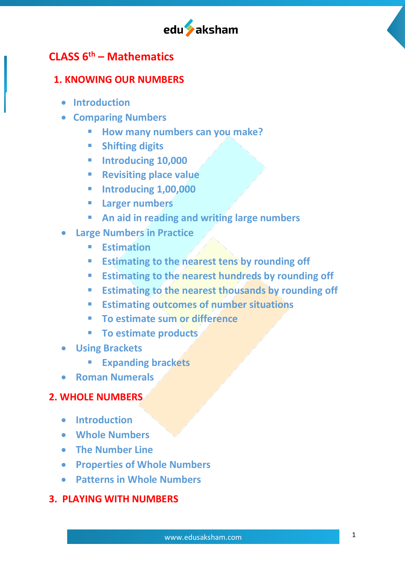

# **CLASS 6th – Mathematics**

## **1. KNOWING OUR NUMBERS**

- **Introduction**
- **Comparing Numbers**
	- § **How many numbers can you make?**
	- § **Shifting digits**
	- § **Introducing 10,000**
	- § **Revisiting place value**
	- § **Introducing 1,00,000**
	- § **Larger numbers**
	- § **An aid in reading and writing large numbers**
- **Large Numbers in Practice**
	- § **Estimation**
	- **Estimating to the nearest tens by rounding off**
	- **Estimating to the nearest hundreds by rounding off**
	- **Estimating to the nearest thousands by rounding off**
	- **Estimating outcomes of number situations**
	- **To estimate sum or difference**
	- § **To estimate products**
- **Using Brackets**
	- § **Expanding brackets**
- **Roman Numerals**

# **2. WHOLE NUMBERS**

- **Introduction**
- **Whole Numbers**
- **The Number Line**
- **Properties of Whole Numbers**
- **Patterns in Whole Numbers**

# **3. PLAYING WITH NUMBERS**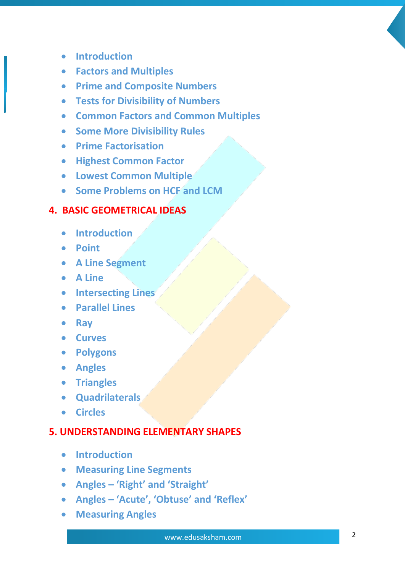- **Introduction**
- **Factors and Multiples**
- **Prime and Composite Numbers**
- **Tests for Divisibility of Numbers**
- **Common Factors and Common Multiples**
- **Some More Divisibility Rules**
- **Prime Factorisation**
- **Highest Common Factor**
- **Lowest Common Multiple**
- **Some Problems on HCF and LCM**

#### **4. BASIC GEOMETRICAL IDEAS**

- **Introduction**
- **Point**
- **A Line Segment**
- **A Line**
- **Intersecting Lines**
- **Parallel Lines**
- **Ray**
- **Curves**
- **Polygons**
- **Angles**
- **Triangles**
- **Quadrilaterals**
- **Circles**

#### **5. UNDERSTANDING ELEMENTARY SHAPES**

- **Introduction**
- **Measuring Line Segments**
- **Angles – 'Right' and 'Straight'**
- **Angles – 'Acute', 'Obtuse' and 'Reflex'**
- **Measuring Angles**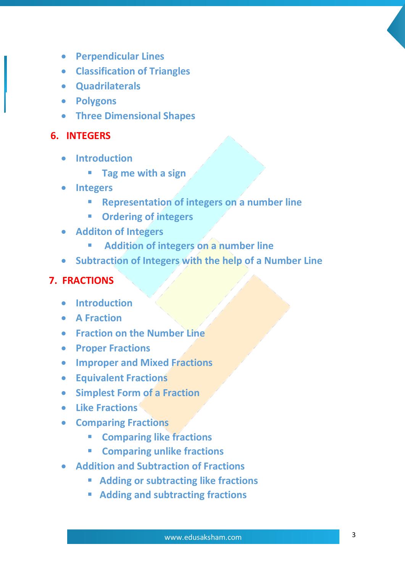- **Perpendicular Lines**
- **Classification of Triangles**
- **Quadrilaterals**
- **Polygons**
- **Three Dimensional Shapes**

#### **6. INTEGERS**

- **Introduction**
	- § **Tag me with a sign**
- **Integers**
	- § **Representation of integers on a number line**
	- § **Ordering of integers**
- **Additon of Integers**
	- § **Addition of integers on a number line**
- **Subtraction of Integers with the help of a Number Line**

#### **7. FRACTIONS**

- **Introduction**
- **A Fraction**
- **Fraction on the Number Line**
- **Proper Fractions**
- **Improper and Mixed Fractions**
- **Equivalent Fractions**
- **Simplest Form of a Fraction**
- **Like Fractions**
- **Comparing Fractions**
	- § **Comparing like fractions**
	- § **Comparing unlike fractions**
- **Addition and Subtraction of Fractions**
	- § **Adding or subtracting like fractions**
	- § **Adding and subtracting fractions**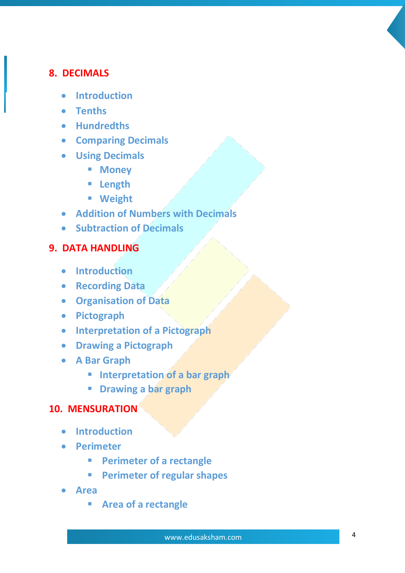## **8. DECIMALS**

- **Introduction**
- **Tenths**
- **Hundredths**
- **Comparing Decimals**
- **Using Decimals**
	- § **Money**
	- § **Length**
	- § **Weight**
- **Addition of Numbers with Decimals**
- **Subtraction of Decimals**

# **9. DATA HANDLING**

- **Introduction**
- **Recording Data**
- **Organisation of Data**
- **Pictograph**
- **Interpretation of a Pictograph**
- **Drawing a Pictograph**
- **A Bar Graph**
	- § **Interpretation of a bar graph**
	- § **Drawing a bar graph**

# **10. MENSURATION**

- **Introduction**
- **Perimeter**
	- § **Perimeter of a rectangle**
	- § **Perimeter of regular shapes**
- **Area**
	- § **Area of a rectangle**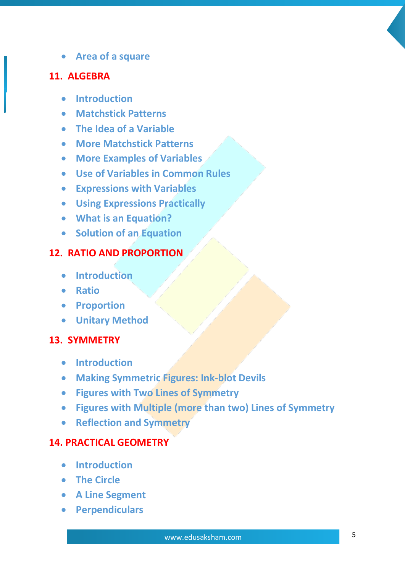• **Area of a square**

#### **11. ALGEBRA**

- **Introduction**
- **Matchstick Patterns**
- **The Idea of a Variable**
- **More Matchstick Patterns**
- **More Examples of Variables**
- **Use of Variables in Common Rules**
- **Expressions with Variables**
- **Using Expressions Practically**
- **What is an Equation?**
- **Solution of an Equation**

# **12. RATIO AND PROPORTION**

- **Introduction**
- **Ratio**
- **Proportion**
- **Unitary Method**

## **13. SYMMETRY**

- **Introduction**
- **Making Symmetric Figures: Ink-blot Devils**
- **Figures with Two Lines of Symmetry**
- **Figures with Multiple (more than two) Lines of Symmetry**
- **Reflection and Symmetry**

#### **14. PRACTICAL GEOMETRY**

- **Introduction**
- **The Circle**
- **A Line Segment**
- **Perpendiculars**